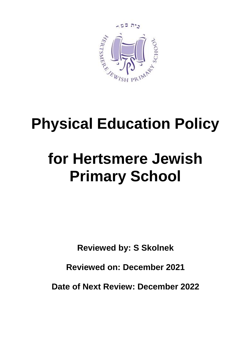

# **Physical Education Policy**

# **for Hertsmere Jewish Primary School**

**Reviewed by: S Skolnek**

**Reviewed on: December 2021**

**Date of Next Review: December 2022**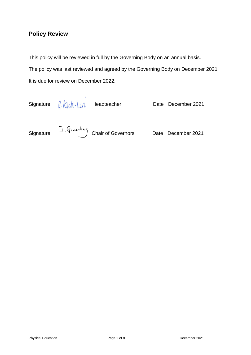## **Policy Review**

This policy will be reviewed in full by the Governing Body on an annual basis. The policy was last reviewed and agreed by the Governing Body on December 2021. It is due for review on December 2022.

Signature:  $\ell$   $k$  ak- Level Headteacher Date December 2021 Signature: J. Grandary Chair of Governors Date December 2021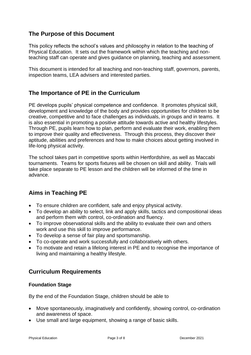## **The Purpose of this Document**

This policy reflects the school's values and philosophy in relation to the teaching of Physical Education. It sets out the framework within which the teaching and nonteaching staff can operate and gives guidance on planning, teaching and assessment.

This document is intended for all teaching and non-teaching staff, governors, parents, inspection teams, LEA advisers and interested parties.

## **The Importance of PE in the Curriculum**

PE develops pupils' physical competence and confidence. It promotes physical skill, development and knowledge of the body and provides opportunities for children to be creative, competitive and to face challenges as individuals, in groups and in teams. It is also essential in promoting a positive attitude towards active and healthy lifestyles. Through PE, pupils learn how to plan, perform and evaluate their work, enabling them to improve their quality and effectiveness. Through this process, they discover their aptitude, abilities and preferences and how to make choices about getting involved in life-long physical activity.

The school takes part in competitive sports within Hertfordshire, as well as Maccabi tournaments. Teams for sports fixtures will be chosen on skill and ability. Trials will take place separate to PE lesson and the children will be informed of the time in advance.

# **Aims in Teaching PE**

- To ensure children are confident, safe and enjoy physical activity.
- To develop an ability to select, link and apply skills, tactics and compositional ideas and perform them with control, co-ordination and fluency.
- To improve observational skills and the ability to evaluate their own and others work and use this skill to improve performance.
- To develop a sense of fair play and sportsmanship.
- To co-operate and work successfully and collaboratively with others.
- To motivate and retain a lifelong interest in PE and to recognise the importance of living and maintaining a healthy lifestyle.

# **Curriculum Requirements**

#### **Foundation Stage**

By the end of the Foundation Stage, children should be able to

- Move spontaneously, imaginatively and confidently, showing control, co-ordination and awareness of space.
- Use small and large equipment, showing a range of basic skills.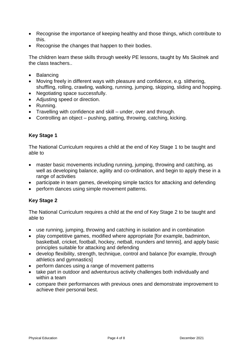- Recognise the importance of keeping healthy and those things, which contribute to this.
- Recognise the changes that happen to their bodies.

The children learn these skills through weekly PE lessons, taught by Ms Skolnek and the class teachers..

- Balancing
- Moving freely in different ways with pleasure and confidence, e.g. slithering, shuffling, rolling, crawling, walking, running, jumping, skipping, sliding and hopping.
- Negotiating space successfully.
- Adjusting speed or direction.
- Running.
- Travelling with confidence and skill under, over and through.
- Controlling an object pushing, patting, throwing, catching, kicking.

#### **Key Stage 1**

The National Curriculum requires a child at the end of Key Stage 1 to be taught and able to

- master basic movements including running, jumping, throwing and catching, as well as developing balance, agility and co-ordination, and begin to apply these in a range of activities
- participate in team games, developing simple tactics for attacking and defending
- perform dances using simple movement patterns.

#### **Key Stage 2**

The National Curriculum requires a child at the end of Key Stage 2 to be taught and able to

- use running, jumping, throwing and catching in isolation and in combination
- play competitive games, modified where appropriate [for example, badminton, basketball, cricket, football, hockey, netball, rounders and tennis], and apply basic principles suitable for attacking and defending
- develop flexibility, strength, technique, control and balance [for example, through athletics and gymnastics]
- perform dances using a range of movement patterns
- take part in outdoor and adventurous activity challenges both individually and within a team
- compare their performances with previous ones and demonstrate improvement to achieve their personal best.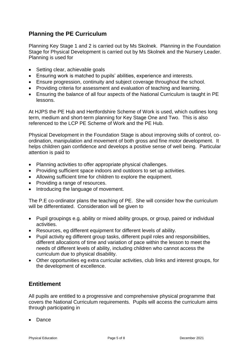## **Planning the PE Curriculum**

Planning Key Stage 1 and 2 is carried out by Ms Skolnek. Planning in the Foundation Stage for Physical Development is carried out by Ms Skolnek and the Nursery Leader. Planning is used for

- Setting clear, achievable goals
- Ensuring work is matched to pupils' abilities, experience and interests.
- Ensure progression, continuity and subject coverage throughout the school.
- Providing criteria for assessment and evaluation of teaching and learning.
- Ensuring the balance of all four aspects of the National Curriculum is taught in PE lessons.

At HJPS the PE Hub and Hertfordshire Scheme of Work is used, which outlines long term, medium and short-term planning for Key Stage One and Two. This is also referenced to the LCP PE Scheme of Work and the PE Hub.

Physical Development in the Foundation Stage is about improving skills of control, coordination, manipulation and movement of both gross and fine motor development. It helps children gain confidence and develops a positive sense of well being. Particular attention is paid to

- Planning activities to offer appropriate physical challenges.
- Providing sufficient space indoors and outdoors to set up activities.
- Allowing sufficient time for children to explore the equipment.
- Providing a range of resources.
- Introducing the language of movement.

The P.E co-ordinator plans the teaching of PE. She will consider how the curriculum will be differentiated. Consideration will be given to

- Pupil groupings e.g. ability or mixed ability groups, or group, paired or individual activities.
- Resources, eg different equipment for different levels of ability.
- Pupil activity eg different group tasks, different pupil roles and responsibilities, different allocations of time and variation of pace within the lesson to meet the needs of different levels of ability, including children who cannot access the curriculum due to physical disability.
- Other opportunities eg extra curricular activities, club links and interest groups, for the development of excellence.

#### **Entitlement**

All pupils are entitled to a progressive and comprehensive physical programme that covers the National Curriculum requirements. Pupils will access the curriculum aims through participating in

• Dance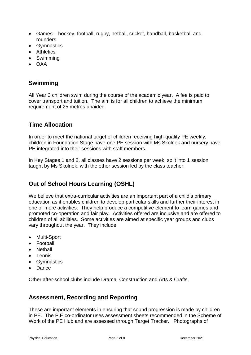- Games hockey, football, rugby, netball, cricket, handball, basketball and rounders
- Gymnastics
- Athletics
- Swimming
- OAA

## **Swimming**

All Year 3 children swim during the course of the academic year. A fee is paid to cover transport and tuition. The aim is for all children to achieve the minimum requirement of 25 metres unaided.

## **Time Allocation**

In order to meet the national target of children receiving high-quality PE weekly, children in Foundation Stage have one PE session with Ms Skolnek and nursery have PE integrated into their sessions with staff members.

In Key Stages 1 and 2, all classes have 2 sessions per week, split into 1 session taught by Ms Skolnek, with the other session led by the class teacher.

## **Out of School Hours Learning (OSHL)**

We believe that extra-curricular activities are an important part of a child's primary education as it enables children to develop particular skills and further their interest in one or more activities. They help produce a competitive element to learn games and promoted co-operation and fair play. Activities offered are inclusive and are offered to children of all abilities. Some activities are aimed at specific year groups and clubs vary throughout the year. They include:

- Multi-Sport
- Football
- Netball
- Tennis
- Gymnastics
- Dance

Other after-school clubs include Drama, Construction and Arts & Crafts.

## **Assessment, Recording and Reporting**

These are important elements in ensuring that sound progression is made by children in PE. The P.E co-ordinator uses assessment sheets recommended in the Scheme of Work of the PE Hub and are assessed through Target Tracker.. Photographs of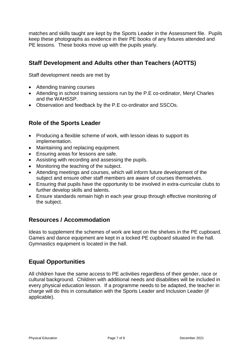matches and skills taught are kept by the Sports Leader in the Assessment file. Pupils keep these photographs as evidence in their PE books of any fixtures attended and PE lessons. These books move up with the pupils yearly.

## **Staff Development and Adults other than Teachers (AOTTS)**

Staff development needs are met by

- Attending training courses
- Attending in school training sessions run by the P.E co-ordinator, Meryl Charles and the WAHSSP.
- Observation and feedback by the P.E co-ordinator and SSCOs.

## **Role of the Sports Leader**

- Producing a flexible scheme of work, with lesson ideas to support its implementation.
- Maintaining and replacing equipment.
- Ensuring areas for lessons are safe.
- Assisting with recording and assessing the pupils.
- Monitoring the teaching of the subject.
- Attending meetings and courses, which will inform future development of the subject and ensure other staff members are aware of courses themselves.
- Ensuring that pupils have the opportunity to be involved in extra-curricular clubs to further develop skills and talents.
- Ensure standards remain high in each year group through effective monitoring of the subject.

## **Resources / Accommodation**

Ideas to supplement the schemes of work are kept on the shelves in the PE cupboard. Games and dance equipment are kept in a locked PE cupboard situated in the hall. Gymnastics equipment is located in the hall.

## **Equal Opportunities**

All children have the same access to PE activities regardless of their gender, race or cultural background. Children with additional needs and disabilities will be included in every physical education lesson. If a programme needs to be adapted, the teacher in charge will do this in consultation with the Sports Leader and Inclusion Leader (if applicable).